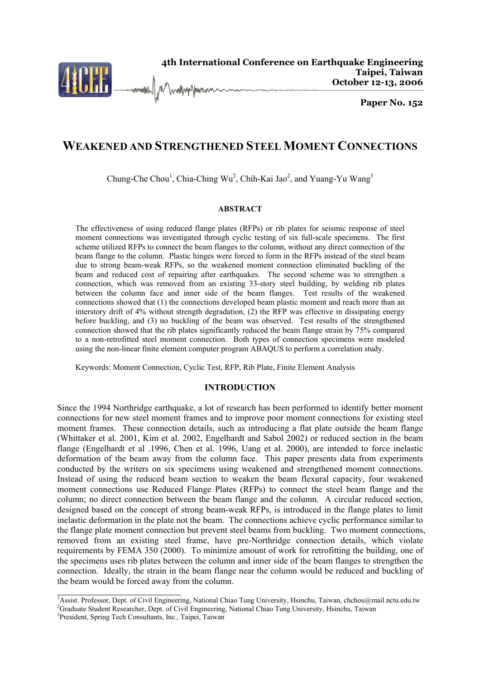

# **WEAKENED AND STRENGTHENED STEEL MOMENT CONNECTIONS**

Chung-Che Chou<sup>1</sup>, Chia-Ching Wu<sup>2</sup>, Chih-Kai Jao<sup>2</sup>, and Yuang-Yu Wang<sup>3</sup>

### **ABSTRACT**

The effectiveness of using reduced flange plates (RFPs) or rib plates for seismic response of steel moment connections was investigated through cyclic testing of six full-scale specimens. The first scheme utilized RFPs to connect the beam flanges to the column, without any direct connection of the beam flange to the column. Plastic hinges were forced to form in the RFPs instead of the steel beam due to strong beam-weak RFPs, so the weakened moment connection eliminated buckling of the beam and reduced cost of repairing after earthquakes. The second scheme was to strengthen a connection, which was removed from an existing 33-story steel building, by welding rib plates between the column face and inner side of the beam flanges. Test results of the weakened connections showed that (1) the connections developed beam plastic moment and reach more than an interstory drift of 4% without strength degradation, (2) the RFP was effective in dissipating energy before buckling, and (3) no buckling of the beam was observed. Test results of the strengthened connection showed that the rib plates significantly reduced the beam flange strain by 75% compared to a non-retrofitted steel moment connection. Both types of connection specimens were modeled using the non-linear finite element computer program ABAQUS to perform a correlation study.

Keywords: Moment Connection, Cyclic Test, RFP, Rib Plate, Finite Element Analysis

### **INTRODUCTION**

Since the 1994 Northridge earthquake, a lot of research has been performed to identify better moment connections for new steel moment frames and to improve poor moment connections for existing steel moment frames. These connection details, such as introducing a flat plate outside the beam flange (Whittaker et al. 2001, Kim et al. 2002, Engelhardt and Sabol 2002) or reduced section in the beam flange (Engelhardt et al .1996, Chen et al. 1996, Uang et al. 2000), are intended to force inelastic deformation of the beam away from the column face. This paper presents data from experiments conducted by the writers on six specimens using weakened and strengthened moment connections. Instead of using the reduced beam section to weaken the beam flexural capacity, four weakened moment connections use Reduced Flange Plates (RFPs) to connect the steel beam flange and the column; no direct connection between the beam flange and the column. A circular reduced section, designed based on the concept of strong beam-weak RFPs, is introduced in the flange plates to limit inelastic deformation in the plate not the beam. The connections achieve cyclic performance similar to the flange plate moment connection but prevent steel beams from buckling. Two moment connections, removed from an existing steel frame, have pre-Northridge connection details, which violate requirements by FEMA 350 (2000). To minimize amount of work for retrofitting the building, one of the specimens uses rib plates between the column and inner side of the beam flanges to strengthen the connection. Ideally, the strain in the beam flange near the column would be reduced and buckling of the beam would be forced away from the column.

 $\overline{a}$ 

<sup>&</sup>lt;sup>1</sup> Assist. Professor, Dept. of Civil Engineering, National Chiao Tung University, Hsinchu, Taiwan, chchou@mail.nctu.edu.tw <sup>2</sup> Credusta Student Researcher, Dept. of Civil Engineering, National Chiao Tung University, Heine

<sup>&</sup>lt;sup>2</sup>Graduate Student Researcher, Dept. of Civil Engineering, National Chiao Tung University, Hsinchu, Taiwan

<sup>&</sup>lt;sup>3</sup>President, Spring Tech Consultants, Inc., Taipei, Taiwan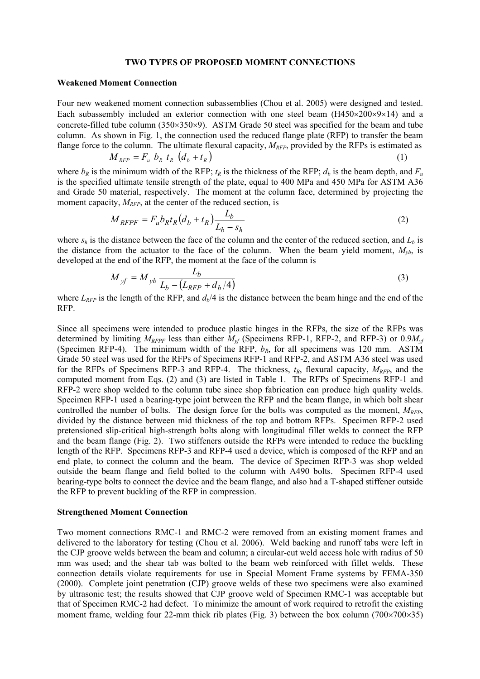#### **TWO TYPES OF PROPOSED MOMENT CONNECTIONS**

#### **Weakened Moment Connection**

Four new weakened moment connection subassemblies (Chou et al. 2005) were designed and tested. Each subassembly included an exterior connection with one steel beam  $(H450\times200\times9\times14)$  and a concrete-filled tube column (350×350×9). ASTM Grade 50 steel was specified for the beam and tube column. As shown in Fig. 1, the connection used the reduced flange plate (RFP) to transfer the beam flange force to the column. The ultimate flexural capacity,  $M_{RFP}$ , provided by the RFPs is estimated as

$$
M_{RFP} = F_u b_R t_R (d_b + t_R)
$$
 (1)

where  $b_R$  is the minimum width of the RFP;  $t_R$  is the thickness of the RFP;  $d_b$  is the beam depth, and  $F_u$ is the specified ultimate tensile strength of the plate, equal to 400 MPa and 450 MPa for ASTM A36 and Grade 50 material, respectively. The moment at the column face, determined by projecting the moment capacity,  $M_{RFP}$ , at the center of the reduced section, is

$$
M_{RFPF} = F_u b_R t_R (d_b + t_R) \frac{L_b}{L_b - s_h}
$$
\n<sup>(2)</sup>

where  $s_h$  is the distance between the face of the column and the center of the reduced section, and  $L_b$  is the distance from the actuator to the face of the column. When the beam yield moment,  $M_{\nu b}$ , is developed at the end of the RFP, the moment at the face of the column is

$$
M_{yf} = M_{yb} \frac{L_b}{L_b - (L_{RFP} + d_b/4)}
$$
(3)

where  $L_{RFP}$  is the length of the RFP, and  $d_b/4$  is the distance between the beam hinge and the end of the RFP.

Since all specimens were intended to produce plastic hinges in the RFPs, the size of the RFPs was determined by limiting *MRFPF* less than either *Myf* (Specimens RFP-1, RFP-2, and RFP-3) or 0.9*Myf* (Specimen RFP-4). The minimum width of the RFP,  $b_R$ , for all specimens was 120 mm. ASTM Grade 50 steel was used for the RFPs of Specimens RFP-1 and RFP-2, and ASTM A36 steel was used for the RFPs of Specimens RFP-3 and RFP-4. The thickness,  $t_R$ , flexural capacity,  $M_{RFP}$ , and the computed moment from Eqs. (2) and (3) are listed in Table 1. The RFPs of Specimens RFP-1 and RFP-2 were shop welded to the column tube since shop fabrication can produce high quality welds. Specimen RFP-1 used a bearing-type joint between the RFP and the beam flange, in which bolt shear controlled the number of bolts. The design force for the bolts was computed as the moment,  $M_{RFP}$ , divided by the distance between mid thickness of the top and bottom RFPs. Specimen RFP-2 used pretensioned slip-critical high-strength bolts along with longitudinal fillet welds to connect the RFP and the beam flange (Fig. 2). Two stiffeners outside the RFPs were intended to reduce the buckling length of the RFP. Specimens RFP-3 and RFP-4 used a device, which is composed of the RFP and an end plate, to connect the column and the beam. The device of Specimen RFP-3 was shop welded outside the beam flange and field bolted to the column with A490 bolts. Specimen RFP-4 used bearing-type bolts to connect the device and the beam flange, and also had a T-shaped stiffener outside the RFP to prevent buckling of the RFP in compression.

#### **Strengthened Moment Connection**

Two moment connections RMC-1 and RMC-2 were removed from an existing moment frames and delivered to the laboratory for testing (Chou et al. 2006). Weld backing and runoff tabs were left in the CJP groove welds between the beam and column; a circular-cut weld access hole with radius of 50 mm was used; and the shear tab was bolted to the beam web reinforced with fillet welds. These connection details violate requirements for use in Special Moment Frame systems by FEMA-350 (2000). Complete joint penetration (CJP) groove welds of these two specimens were also examined by ultrasonic test; the results showed that CJP groove weld of Specimen RMC-1 was acceptable but that of Specimen RMC-2 had defect. To minimize the amount of work required to retrofit the existing moment frame, welding four 22-mm thick rib plates (Fig. 3) between the box column (700×700×35)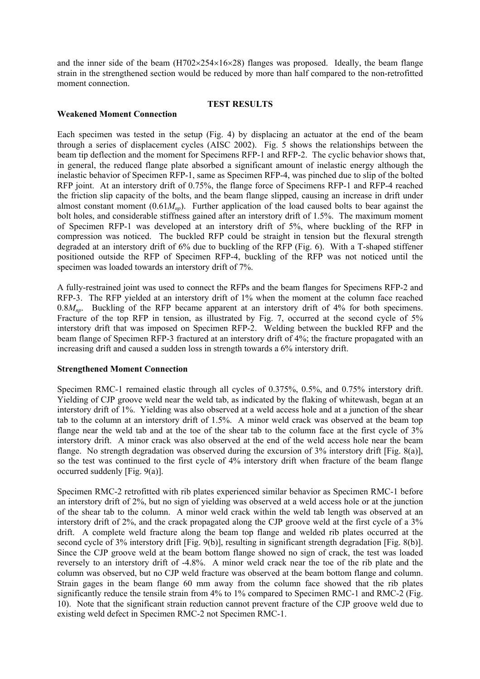and the inner side of the beam  $(H702\times254\times16\times28)$  flanges was proposed. Ideally, the beam flange strain in the strengthened section would be reduced by more than half compared to the non-retrofitted moment connection.

### **TEST RESULTS**

# **Weakened Moment Connection**

Each specimen was tested in the setup (Fig. 4) by displacing an actuator at the end of the beam through a series of displacement cycles (AISC 2002). Fig. 5 shows the relationships between the beam tip deflection and the moment for Specimens RFP-1 and RFP-2. The cyclic behavior shows that, in general, the reduced flange plate absorbed a significant amount of inelastic energy although the inelastic behavior of Specimen RFP-1, same as Specimen RFP-4, was pinched due to slip of the bolted RFP joint. At an interstory drift of 0.75%, the flange force of Specimens RFP-1 and RFP-4 reached the friction slip capacity of the bolts, and the beam flange slipped, causing an increase in drift under almost constant moment  $(0.61M_{np})$ . Further application of the load caused bolts to bear against the bolt holes, and considerable stiffness gained after an interstory drift of 1.5%. The maximum moment of Specimen RFP-1 was developed at an interstory drift of 5%, where buckling of the RFP in compression was noticed. The buckled RFP could be straight in tension but the flexural strength degraded at an interstory drift of 6% due to buckling of the RFP (Fig. 6). With a T-shaped stiffener positioned outside the RFP of Specimen RFP-4, buckling of the RFP was not noticed until the specimen was loaded towards an interstory drift of 7%.

A fully-restrained joint was used to connect the RFPs and the beam flanges for Specimens RFP-2 and RFP-3. The RFP yielded at an interstory drift of 1% when the moment at the column face reached 0.8*M<sub>np</sub>*. Buckling of the RFP became apparent at an interstory drift of 4% for both specimens. Fracture of the top RFP in tension, as illustrated by Fig. 7, occurred at the second cycle of 5% interstory drift that was imposed on Specimen RFP-2. Welding between the buckled RFP and the beam flange of Specimen RFP-3 fractured at an interstory drift of 4%; the fracture propagated with an increasing drift and caused a sudden loss in strength towards a 6% interstory drift.

### **Strengthened Moment Connection**

Specimen RMC-1 remained elastic through all cycles of 0.375%, 0.5%, and 0.75% interstory drift. Yielding of CJP groove weld near the weld tab, as indicated by the flaking of whitewash, began at an interstory drift of 1%. Yielding was also observed at a weld access hole and at a junction of the shear tab to the column at an interstory drift of 1.5%. A minor weld crack was observed at the beam top flange near the weld tab and at the toe of the shear tab to the column face at the first cycle of 3% interstory drift. A minor crack was also observed at the end of the weld access hole near the beam flange. No strength degradation was observed during the excursion of 3% interstory drift [Fig. 8(a)], so the test was continued to the first cycle of 4% interstory drift when fracture of the beam flange occurred suddenly [Fig. 9(a)].

Specimen RMC-2 retrofitted with rib plates experienced similar behavior as Specimen RMC-1 before an interstory drift of 2%, but no sign of yielding was observed at a weld access hole or at the junction of the shear tab to the column. A minor weld crack within the weld tab length was observed at an interstory drift of 2%, and the crack propagated along the CJP groove weld at the first cycle of a 3% drift. A complete weld fracture along the beam top flange and welded rib plates occurred at the second cycle of 3% interstory drift [Fig. 9(b)], resulting in significant strength degradation [Fig. 8(b)]. Since the CJP groove weld at the beam bottom flange showed no sign of crack, the test was loaded reversely to an interstory drift of -4.8%. A minor weld crack near the toe of the rib plate and the column was observed, but no CJP weld fracture was observed at the beam bottom flange and column. Strain gages in the beam flange 60 mm away from the column face showed that the rib plates significantly reduce the tensile strain from 4% to 1% compared to Specimen RMC-1 and RMC-2 (Fig. 10). Note that the significant strain reduction cannot prevent fracture of the CJP groove weld due to existing weld defect in Specimen RMC-2 not Specimen RMC-1.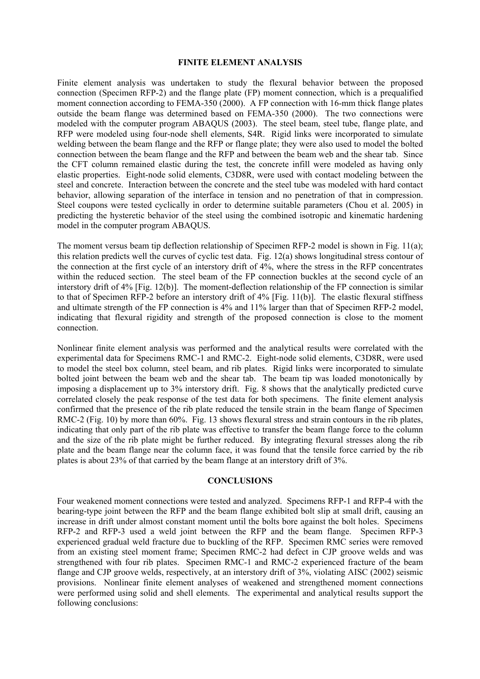# **FINITE ELEMENT ANALYSIS**

Finite element analysis was undertaken to study the flexural behavior between the proposed connection (Specimen RFP-2) and the flange plate (FP) moment connection, which is a prequalified moment connection according to FEMA-350 (2000). A FP connection with 16-mm thick flange plates outside the beam flange was determined based on FEMA-350 (2000). The two connections were modeled with the computer program ABAQUS (2003). The steel beam, steel tube, flange plate, and RFP were modeled using four-node shell elements, S4R. Rigid links were incorporated to simulate welding between the beam flange and the RFP or flange plate; they were also used to model the bolted connection between the beam flange and the RFP and between the beam web and the shear tab. Since the CFT column remained elastic during the test, the concrete infill were modeled as having only elastic properties. Eight-node solid elements, C3D8R, were used with contact modeling between the steel and concrete. Interaction between the concrete and the steel tube was modeled with hard contact behavior, allowing separation of the interface in tension and no penetration of that in compression. Steel coupons were tested cyclically in order to determine suitable parameters (Chou et al. 2005) in predicting the hysteretic behavior of the steel using the combined isotropic and kinematic hardening model in the computer program ABAQUS.

The moment versus beam tip deflection relationship of Specimen RFP-2 model is shown in Fig. 11(a); this relation predicts well the curves of cyclic test data. Fig. 12(a) shows longitudinal stress contour of the connection at the first cycle of an interstory drift of 4%, where the stress in the RFP concentrates within the reduced section. The steel beam of the FP connection buckles at the second cycle of an interstory drift of 4% [Fig. 12(b)]. The moment-deflection relationship of the FP connection is similar to that of Specimen RFP-2 before an interstory drift of 4% [Fig. 11(b)]. The elastic flexural stiffness and ultimate strength of the FP connection is 4% and 11% larger than that of Specimen RFP-2 model, indicating that flexural rigidity and strength of the proposed connection is close to the moment connection.

Nonlinear finite element analysis was performed and the analytical results were correlated with the experimental data for Specimens RMC-1 and RMC-2. Eight-node solid elements, C3D8R, were used to model the steel box column, steel beam, and rib plates. Rigid links were incorporated to simulate bolted joint between the beam web and the shear tab. The beam tip was loaded monotonically by imposing a displacement up to 3% interstory drift. Fig. 8 shows that the analytically predicted curve correlated closely the peak response of the test data for both specimens. The finite element analysis confirmed that the presence of the rib plate reduced the tensile strain in the beam flange of Specimen RMC-2 (Fig. 10) by more than 60%. Fig. 13 shows flexural stress and strain contours in the rib plates, indicating that only part of the rib plate was effective to transfer the beam flange force to the column and the size of the rib plate might be further reduced. By integrating flexural stresses along the rib plate and the beam flange near the column face, it was found that the tensile force carried by the rib plates is about 23% of that carried by the beam flange at an interstory drift of 3%.

## **CONCLUSIONS**

Four weakened moment connections were tested and analyzed. Specimens RFP-1 and RFP-4 with the bearing-type joint between the RFP and the beam flange exhibited bolt slip at small drift, causing an increase in drift under almost constant moment until the bolts bore against the bolt holes. Specimens RFP-2 and RFP-3 used a weld joint between the RFP and the beam flange. Specimen RFP-3 experienced gradual weld fracture due to buckling of the RFP. Specimen RMC series were removed from an existing steel moment frame; Specimen RMC-2 had defect in CJP groove welds and was strengthened with four rib plates. Specimen RMC-1 and RMC-2 experienced fracture of the beam flange and CJP groove welds, respectively, at an interstory drift of 3%, violating AISC (2002) seismic provisions. Nonlinear finite element analyses of weakened and strengthened moment connections were performed using solid and shell elements. The experimental and analytical results support the following conclusions: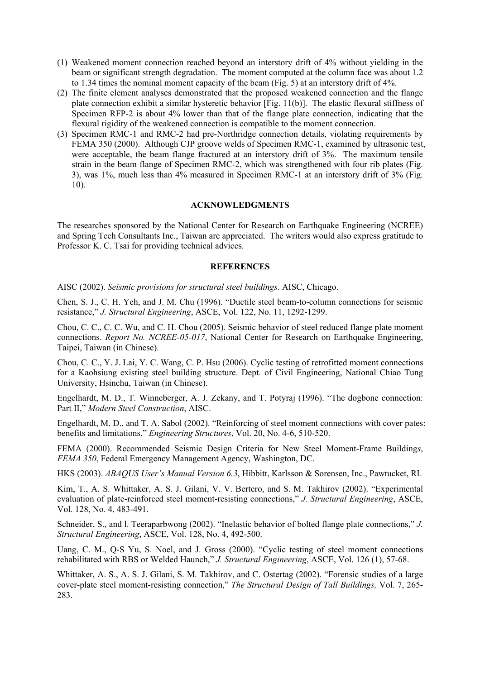- (1) Weakened moment connection reached beyond an interstory drift of 4% without yielding in the beam or significant strength degradation. The moment computed at the column face was about 1.2 to 1.34 times the nominal moment capacity of the beam (Fig. 5) at an interstory drift of 4%.
- (2) The finite element analyses demonstrated that the proposed weakened connection and the flange plate connection exhibit a similar hysteretic behavior [Fig. 11(b)]. The elastic flexural stiffness of Specimen RFP-2 is about 4% lower than that of the flange plate connection, indicating that the flexural rigidity of the weakened connection is compatible to the moment connection.
- (3) Specimen RMC-1 and RMC-2 had pre-Northridge connection details, violating requirements by FEMA 350 (2000). Although CJP groove welds of Specimen RMC-1, examined by ultrasonic test, were acceptable, the beam flange fractured at an interstory drift of 3%. The maximum tensile strain in the beam flange of Specimen RMC-2, which was strengthened with four rib plates (Fig. 3), was 1%, much less than 4% measured in Specimen RMC-1 at an interstory drift of 3% (Fig. 10).

### **ACKNOWLEDGMENTS**

The researches sponsored by the National Center for Research on Earthquake Engineering (NCREE) and Spring Tech Consultants Inc., Taiwan are appreciated. The writers would also express gratitude to Professor K. C. Tsai for providing technical advices.

### **REFERENCES**

AISC (2002). *Seismic provisions for structural steel buildings*. AISC, Chicago.

Chen, S. J., C. H. Yeh, and J. M. Chu (1996). "Ductile steel beam-to-column connections for seismic resistance," *J. Structural Engineering*, ASCE, Vol. 122, No. 11, 1292-1299.

Chou, C. C., C. C. Wu, and C. H. Chou (2005). Seismic behavior of steel reduced flange plate moment connections. *Report No. NCREE-05-017*, National Center for Research on Earthquake Engineering, Taipei, Taiwan (in Chinese).

Chou, C. C., Y. J. Lai, Y. C. Wang, C. P. Hsu (2006). Cyclic testing of retrofitted moment connections for a Kaohsiung existing steel building structure. Dept. of Civil Engineering, National Chiao Tung University, Hsinchu, Taiwan (in Chinese).

Engelhardt, M. D., T. Winneberger, A. J. Zekany, and T. Potyraj (1996). "The dogbone connection: Part II," *Modern Steel Construction*, AISC.

Engelhardt, M. D., and T. A. Sabol (2002). "Reinforcing of steel moment connections with cover pates: benefits and limitations," *Engineering Structures*, Vol. 20, No. 4-6, 510-520.

FEMA (2000). Recommended Seismic Design Criteria for New Steel Moment-Frame Building*s*, *FEMA 350*, Federal Emergency Management Agency, Washington, DC.

HKS (2003). *ABAQUS User's Manual Version 6.3*, Hibbitt, Karlsson & Sorensen, Inc., Pawtucket, RI.

Kim, T., A. S. Whittaker, A. S. J. Gilani, V. V. Bertero, and S. M. Takhirov (2002). "Experimental evaluation of plate-reinforced steel moment-resisting connections," *J. Structural Engineering*, ASCE, Vol. 128, No. 4, 483-491.

Schneider, S., and I. Teeraparbwong (2002). "Inelastic behavior of bolted flange plate connections," *J. Structural Engineering*, ASCE, Vol. 128, No. 4, 492-500.

Uang, C. M., Q-S Yu, S. Noel, and J. Gross (2000). "Cyclic testing of steel moment connections rehabilitated with RBS or Welded Haunch," *J. Structural Engineering*, ASCE, Vol. 126 (1), 57-68.

Whittaker, A. S., A. S. J. Gilani, S. M. Takhirov, and C. Ostertag (2002). "Forensic studies of a large cover-plate steel moment-resisting connection," *The Structural Design of Tall Buildings,* Vol. 7, 265- 283.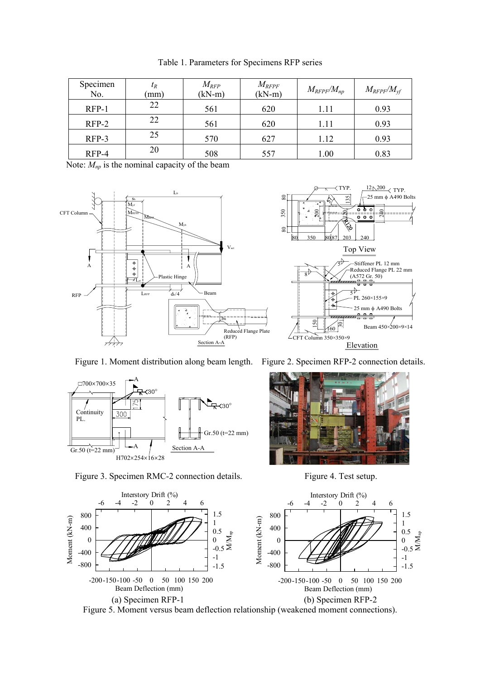| Specimen<br>No. | $t_R$<br>(mm) | $M_{RFP}$<br>$(kN-m)$ | $M_{\it RFFF}$<br>$(kN-m)$ | $M_{RFPF}/M_{np}$ | $M_{RFPF}/M_{\rm vf}$ |
|-----------------|---------------|-----------------------|----------------------------|-------------------|-----------------------|
| $RFP-1$         | 22            | 561                   | 620                        | 1.11              | 0.93                  |
| $RFP-2$         | 22            | 561                   | 620                        | 1.11              | 0.93                  |
| $RFP-3$         | 25            | 570                   | 627                        | 1.12              | 0.93                  |
| RFP-4           | 20            | 508                   | 557                        | 1.00              | 0.83                  |

Table 1. Parameters for Specimens RFP series

Note:  $M_{np}$  is the nominal capacity of the beam













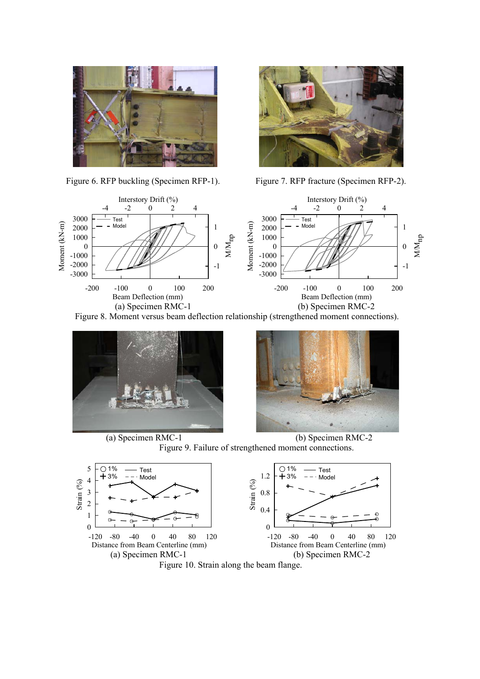



Figure 6. RFP buckling (Specimen RFP-1). Figure 7. RFP fracture (Specimen RFP-2).



Figure 8. Moment versus beam deflection relationship (strengthened moment connections).